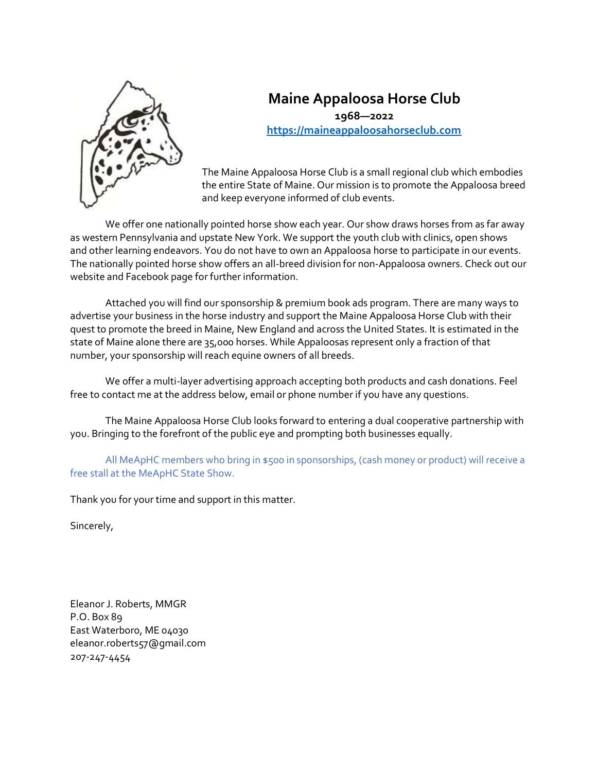

# **Maine Appaloosa Horse Club 1968—2022 [https://maineappaloosahorseclub.com](https://maineappaloosahorseclub.com/)**

The Maine Appaloosa Horse Club is a small regional club which embodies the entire State of Maine. Our mission is to promote the Appaloosa breed and keep everyone informed of club events.

We offer one nationally pointed horse show each year. Our show draws horses from as far away as western Pennsylvania and upstate New York. We support the youth club with clinics, open shows and other learning endeavors. You do not have to own an Appaloosa horse to participate in our events. The nationally pointed horse show offers an all-breed division for non-Appaloosa owners. Check out our website and Facebook page for further information.

Attached you will find our sponsorship & premium book ads program. There are many ways to advertise your business in the horse industry and support the Maine Appaloosa Horse Club with their quest to promote the breed in Maine, New England and across the United States. It is estimated in the state of Maine alone there are 35,000 horses. While Appaloosas represent only a fraction of that number, your sponsorship will reach equine owners of all breeds.

We offer a multi-layer advertising approach accepting both products and cash donations. Feel free to contact me at the address below, email or phone number if you have any questions.

The Maine Appaloosa Horse Club looks forward to entering a dual cooperative partnership with you. Bringing to the forefront of the public eye and prompting both businesses equally.

All MeApHC members who bring in \$500 in sponsorships, (cash money or product) will receive a free stall at the MeApHC State Show.

Thank you for your time and support in this matter.

Sincerely,

Eleanor J. Roberts, MMGR P.O. Box 89 East Waterboro, ME 04030 eleanor.roberts57@gmail.com 207-247-4454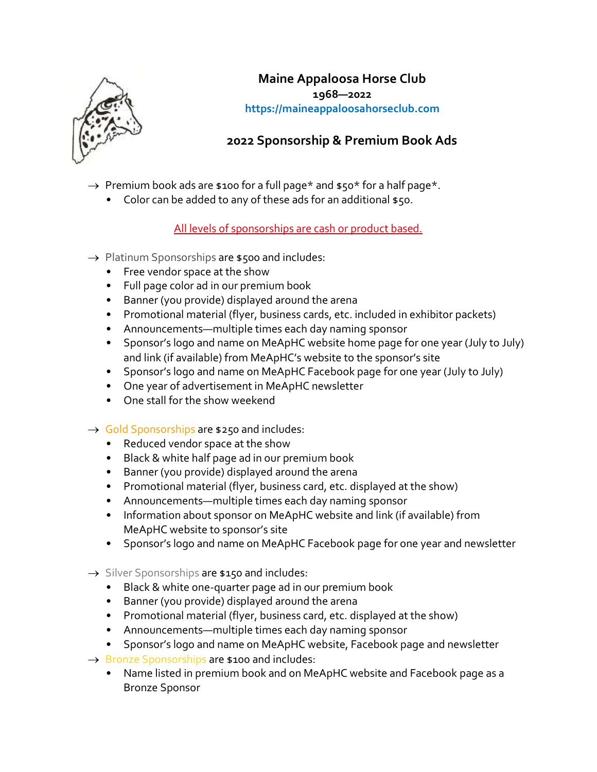

## **Maine Appaloosa Horse Club 1968—2022 https://maineappaloosahorseclub.com**

# **2022 Sponsorship & Premium Book Ads**

- $\rightarrow$  Premium book ads are \$100 for a full page\* and \$50\* for a half page\*.
	- Color can be added to any of these ads for an additional \$50.

All levels of sponsorships are cash or product based.

- $\rightarrow$  Platinum Sponsorships are \$500 and includes:
	- Free vendor space at the show
	- Full page color ad in our premium book
	- Banner (you provide) displayed around the arena
	- Promotional material (flyer, business cards, etc. included in exhibitor packets)
	- Announcements—multiple times each day naming sponsor
	- Sponsor's logo and name on MeApHC website home page for one year (July to July) and link (if available) from MeApHC's website to the sponsor's site
	- Sponsor's logo and name on MeApHC Facebook page for one year (July to July)
	- One year of advertisement in MeApHC newsletter
	- One stall for the show weekend
- $\rightarrow$  Gold Sponsorships are \$250 and includes:
	- Reduced vendor space at the show
	- Black & white half page ad in our premium book
	- Banner (you provide) displayed around the arena
	- Promotional material (flyer, business card, etc. displayed at the show)
	- Announcements—multiple times each day naming sponsor
	- Information about sponsor on MeApHC website and link (if available) from MeApHC website to sponsor's site
	- Sponsor's logo and name on MeApHC Facebook page for one year and newsletter
- $\rightarrow$  Silver Sponsorships are \$150 and includes:
	- Black & white one-quarter page ad in our premium book
	- Banner (you provide) displayed around the arena
	- Promotional material (flyer, business card, etc. displayed at the show)
	- Announcements—multiple times each day naming sponsor
	- Sponsor's logo and name on MeApHC website, Facebook page and newsletter
- $\rightarrow$  Bronze Sponsorships are \$100 and includes:
	- Name listed in premium book and on MeApHC website and Facebook page as a Bronze Sponsor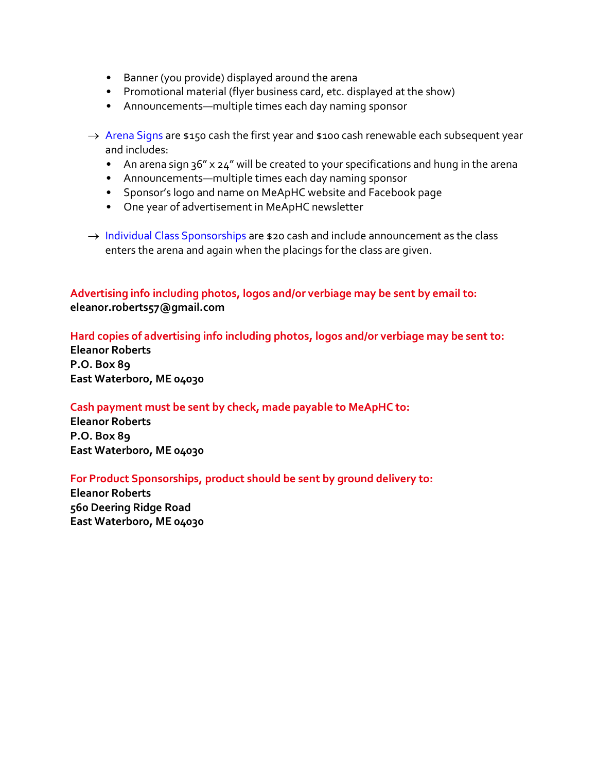- Banner (you provide) displayed around the arena
- Promotional material (flyer business card, etc. displayed at the show)
- Announcements—multiple times each day naming sponsor
- $\rightarrow$  Arena Signs are \$150 cash the first year and \$100 cash renewable each subsequent year and includes:
	- An arena sign 36" x 24" will be created to your specifications and hung in the arena
	- Announcements—multiple times each day naming sponsor
	- Sponsor's logo and name on MeApHC website and Facebook page
	- One year of advertisement in MeApHC newsletter
- $\rightarrow$  Individual Class Sponsorships are \$20 cash and include announcement as the class enters the arena and again when the placings for the class are given.

## **Advertising info including photos, logos and/or verbiage may be sent by email to: eleanor.roberts57@gmail.com**

### **Hard copies of advertising info including photos, logos and/or verbiage may be sent to:**

**Eleanor Roberts P.O. Box 89 East Waterboro, ME 04030**

#### **Cash payment must be sent by check, made payable to MeApHC to:**

**Eleanor Roberts P.O. Box 89 East Waterboro, ME 04030**

#### **For Product Sponsorships, product should be sent by ground delivery to:**

**Eleanor Roberts 560 Deering Ridge Road East Waterboro, ME 04030**